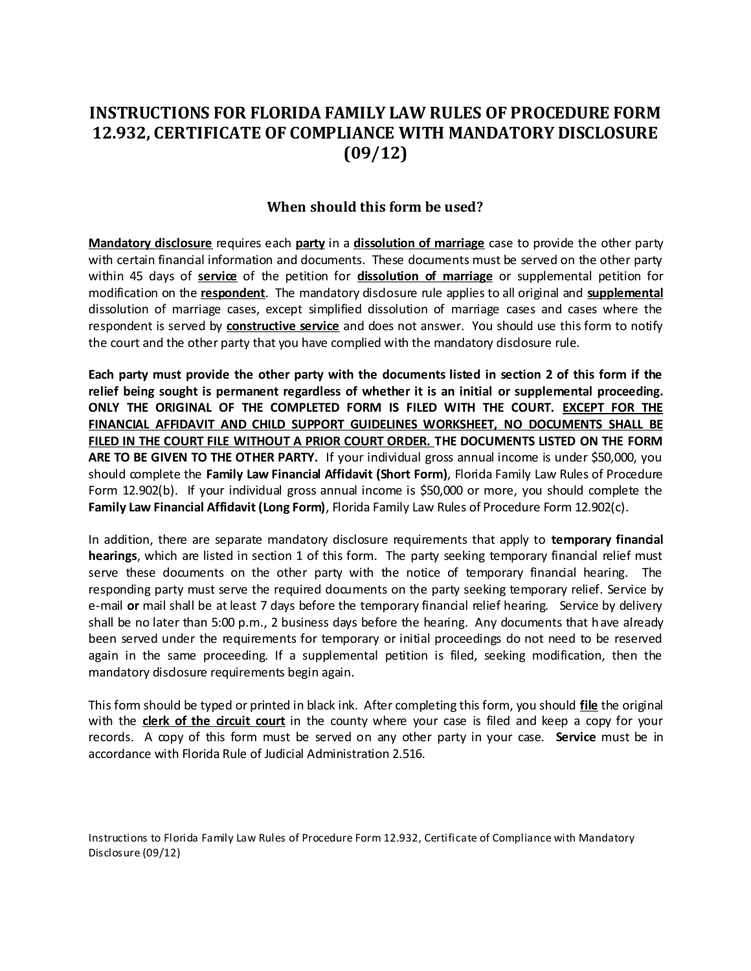# **INSTRUCTIONS FOR FLORIDA FAMILY LAW RULES OF PROCEDURE FORM 12.932, CERTIFICATE OF COMPLIANCE WITH MANDATORY DISCLOSURE (09/12)**

#### **When should this form be used?**

**Mandatory disclosure** requires each **party** in a **dissolution of marriage** case to provide the other party with certain financial information and documents. These documents must be served on the other party within 45 days of **service** of the petition for **dissolution of marriage** or supplemental petition for modification on the **respondent**. The mandatory disclosure rule applies to all original and **supplemental** dissolution of marriage cases, except simplified dissolution of marriage cases and cases where the respondent is served by **constructive service** and does not answer. You should use this form to notify the court and the other party that you have complied with the mandatory disdosure rule.

**Each party must provide the other party with the documents listed in section 2 of this form if the relief being sought is permanent regardless of whether it is an initial or supplemental proceeding. ONLY THE ORIGINAL OF THE COMPLETED FORM IS FILED WITH THE COURT. EXCEPT FOR THE FINANCIAL AFFIDAVIT AND CHILD SUPPORT GUIDELINES WORKSHEET, NO DOCUMENTS SHALL BE FILED IN THE COURT FILE WITHOUT A PRIOR COURT ORDER. THE DOCUMENTS LISTED ON THE FORM ARE TO BE GIVEN TO THE OTHER PARTY.** If your individual gross annual income is under \$50,000, you should complete the **Family Law Financial Affidavit (Short Form)**, Florida Family Law Rules of Procedure Form 12.902(b). If your individual gross annual income is \$50,000 or more, you should complete the **Family Law Financial Affidavit (Long Form)**, Florida Family Law Rules of Procedure Form 12.902(c).

In addition, there are separate mandatory disclosure requirements that apply to **temporary financial hearings**, which are listed in section 1 of this form. The party seeking temporary financial relief must serve these documents on the other party with the notice of temporary financial hearing. The responding party must serve the required documents on the party seeking temporary relief. Service by e-mail or mail shall be at least 7 days before the temporary financial relief hearing. Service by delivery shall be no later than 5:00 p.m., 2 business days before the hearing. Any documents that have already been served under the requirements for temporary or initial proceedings do not need to be reserved again in the same proceeding. If a supplemental petition is filed, seeking modification, then the mandatory disdosure requirements begin again.

This form should be typed or printed in black ink. After completing this form, you should **file** the original with the **clerk of the circuit court** in the county where your case is filed and keep a copy for your records. A copy of this form must be served on any other party in your case. **Service** must be in accordance with Florida Rule of Judicial Administration 2.516.

Instructions to Florida Family Law Rules of Procedure Form 12.932, Certificate of Compliance with Mandatory Disclosure (09/12)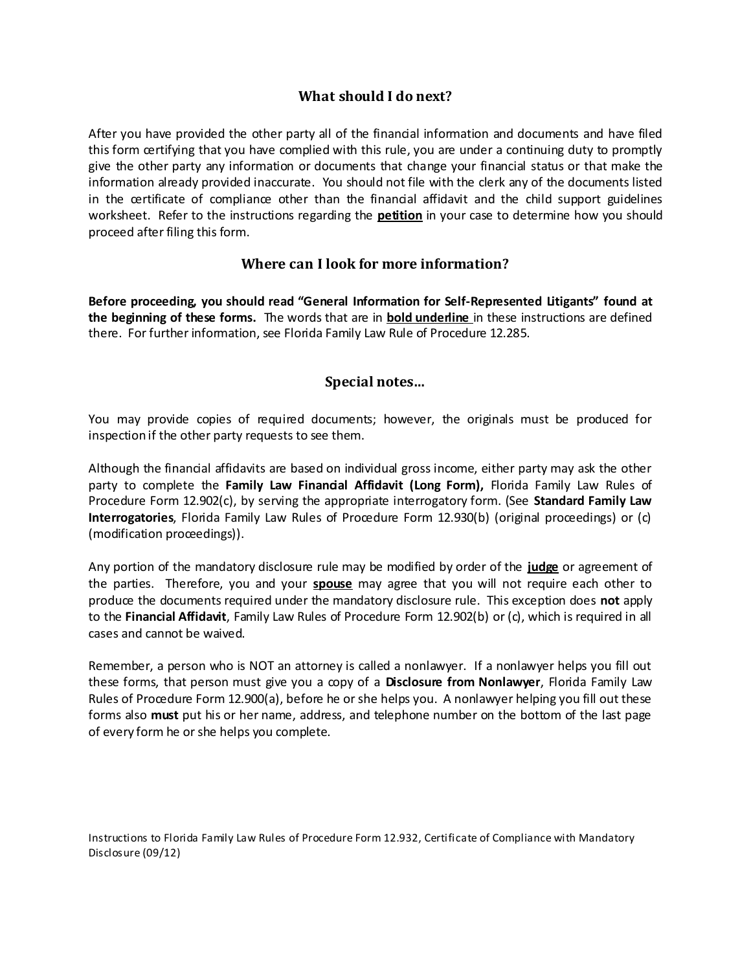### **What should I do next?**

After you have provided the other party all of the financial information and documents and have filed this form certifying that you have complied with this rule, you are under a continuing duty to promptly give the other party any information or documents that change your financial status or that make the information already provided inaccurate. You should not file with the clerk any of the documents listed in the certificate of compliance other than the financial affidavit and the child support guidelines worksheet. Refer to the instructions regarding the **petition** in your case to determine how you should proceed after filing this form.

### **Where can I look for more information?**

**Before proceeding, you should read "General Information for Self-Represented Litigants" found at the beginning of these forms.** The words that are in **bold underline** in these instructions are defined there. For further information, see Florida Family Law Rule of Procedure 12.285.

#### **Special notes…**

You may provide copies of required documents; however, the originals must be produced for inspection if the other party requests to see them.

Although the financial affidavits are based on individual gross income, either party may ask the other party to complete the **Family Law Financial Affidavit (Long Form),** Florida Family Law Rules of Procedure Form 12.902(c), by serving the appropriate interrogatory form. (See **Standard Family Law Interrogatories**, Florida Family Law Rules of Procedure Form 12.930(b) (original proceedings) or (c) (modification proceedings)).

Any portion of the mandatory disclosure rule may be modified by order of the **judge** or agreement of the parties. Therefore, you and your **spouse** may agree that you will not require each other to produce the documents required under the mandatory disclosure rule. This exception does **not** apply to the **Financial Affidavit**, Family Law Rules of Procedure Form 12.902(b) or (c), which is required in all cases and cannot be waived.

Remember, a person who is NOT an attorney is called a nonlawyer. If a nonlawyer helps you fill out these forms, that person must give you a copy of a **Disclosure from Nonlawyer**, Florida Family Law Rules of Procedure Form 12.900(a), before he or she helps you. A nonlawyer helping you fill out these forms also **must** put his or her name, address, and telephone number on the bottom of the last page of every form he or she helps you complete.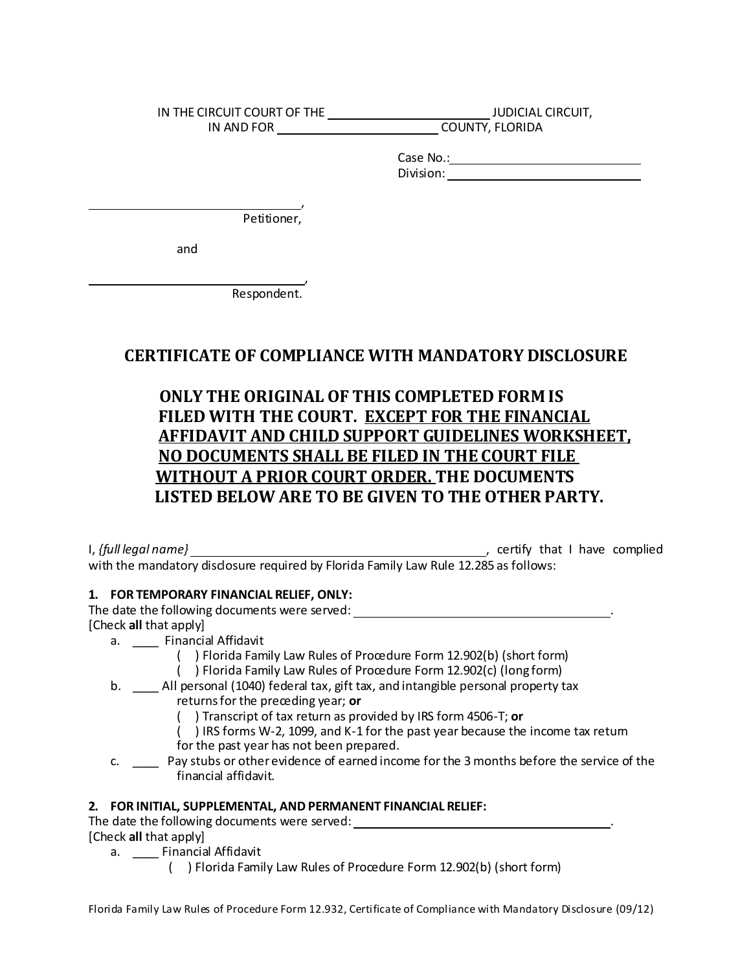IN THE CIRCUIT COURT OF THE **JUDICIAL CIRCUIT** IN AND FOR COUNTY, FLORIDA

> Case No.: Division:

 , Petitioner,

and

 , Respondent.

### **CERTIFICATE OF COMPLIANCE WITH MANDATORY DISCLOSURE**

## **ONLY THE ORIGINAL OF THIS COMPLETED FORM IS FILED WITH THE COURT. EXCEPT FOR THE FINANCIAL AFFIDAVIT AND CHILD SUPPORT GUIDELINES WORKSHEET, NO DOCUMENTS SHALL BE FILED IN THE COURT FILE WITHOUT A PRIOR COURT ORDER. THE DOCUMENTS LISTED BELOW ARE TO BE GIVEN TO THE OTHER PARTY.**

I, *{full legal name}* , certify that I have complied with the mandatory disdosure required by Florida Family Law Rule 12.285 as follows:

#### **1. FOR TEMPORARY FINANCIAL RELIEF, ONLY:**

The date the following documents were served: \_\_\_\_\_\_\_\_\_\_\_\_\_\_\_\_\_\_\_\_\_\_\_\_\_\_\_\_\_\_\_\_\_\_\_. [Check **all** that apply]

- a. \_\_\_\_ Financial Affidavit
	- ( ) Florida Family Law Rules of Procedure Form 12.902(b) (short form)
		- ( ) Florida Family Law Rules of Procedure Form 12.902(c) (long form)
- b. \_\_\_\_ All personal (1040) federal tax, gift tax, and intangible personal property tax returns for the preceding year; **or**
	- ( ) Transcript of tax return as provided by IRS form 4506-T; **or**
	- ( ) IRS forms W-2, 1099, and K-1 for the past year because the income tax return
	- for the past year has not been prepared.
- c. \_\_\_\_ Pay stubs or other evidence of earned income for the 3 months before the service of the financial affidavit.

#### **2. FOR INITIAL, SUPPLEMENTAL, AND PERMANENT FINANCIAL RELIEF:**

The date the following documents were served: \_\_\_\_\_\_\_\_\_\_\_\_\_\_\_\_\_\_\_\_\_\_\_\_\_\_\_\_\_\_\_\_\_\_

[Check **all** that apply]

- a. \_\_\_\_ Financial Affidavit
	- ( ) Florida Family Law Rules of Procedure Form 12.902(b) (short form)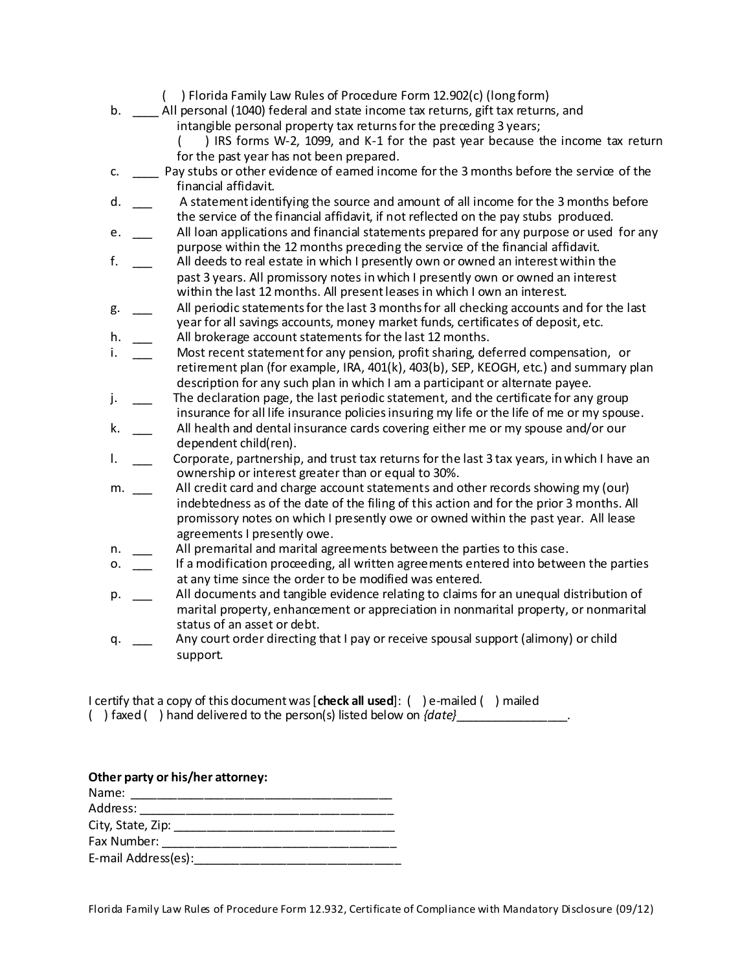- ( ) Florida Family Law Rules of Procedure Form 12.902(c) (long form)
- b. \_\_\_\_ All personal (1040) federal and state income tax returns, gift tax returns, and intangible personal property tax returns for the preceding 3 years; ( ) IRS forms W-2, 1099, and K-1 for the past year because the income tax return for the past year has not been prepared. c. \_\_\_\_ Pay stubs or other evidence of earned income for the 3 months before the service of the financial affidavit.
- d. \_\_\_ A statement identifying the source and amount of all income for the 3 months before the service of the financial affidavit, if not reflected on the pay stubs produced.
- e. All loan applications and financial statements prepared for any purpose or used for any purpose within the 12 months preceding the service of the financial affidavit.
- f. \_\_\_ All deeds to real estate in which I presently own or owned an interest within the past 3 years. All promissory notes in which I presently own or owned an interest within the last 12 months. All present leases in which I own an interest.
- g. \_\_\_ All periodic statements for the last 3 months for all checking accounts and for the last year for all savings accounts, money market funds, certificates of deposit, etc.
- h. All brokerage account statements for the last 12 months.
- i. \_\_\_ Most recent statement for any pension, profit sharing, deferred compensation, or retirement plan (for example, IRA, 401(k), 403(b), SEP, KEOGH, etc.) and summary plan description for any such plan in which I am a participant or alternate payee.
- j. The declaration page, the last periodic statement, and the certificate for any group insurance for all life insurance policies insuring my life or the life of me or my spouse.
- k. \_\_\_ All health and dental insurance cards covering either me or my spouse and/or our dependent child(ren).
- l. Corporate, partnership, and trust tax returns for the last 3 tax years, in which I have an ownership or interest greater than or equal to 30%.
- m. All credit card and charge account statements and other records showing my (our) indebtedness as of the date of the filing of this action and for the prior 3 months. All promissory notes on which I presently owe or owned within the past year. All lease agreements I presently owe.
- n. All premarital and marital agreements between the parties to this case.
- o. \_\_\_ If a modification proceeding, all written agreements entered into between the parties at any time since the order to be modified was entered.
- p. \_\_\_ All documents and tangible evidence relating to claims for an unequal distribution of marital property, enhancement or appreciation in nonmarital property, or nonmarital status of an asset or debt.
- q. \_\_ Any court order directing that I pay or receive spousal support (alimony) or child support.

I certify that a copy of this document was [**check all used**]: ( ) e-mailed ( ) mailed ( ) faxed ( ) hand delivered to the person(s) listed below on *{date}*\_\_\_\_\_\_\_\_\_\_\_\_\_\_\_\_\_.

| Other party or his/her attorney: |  |
|----------------------------------|--|
| Name:                            |  |
| Address:                         |  |
| City, State, Zip:                |  |
| Fax Number:                      |  |
| E-mail Address(es):              |  |